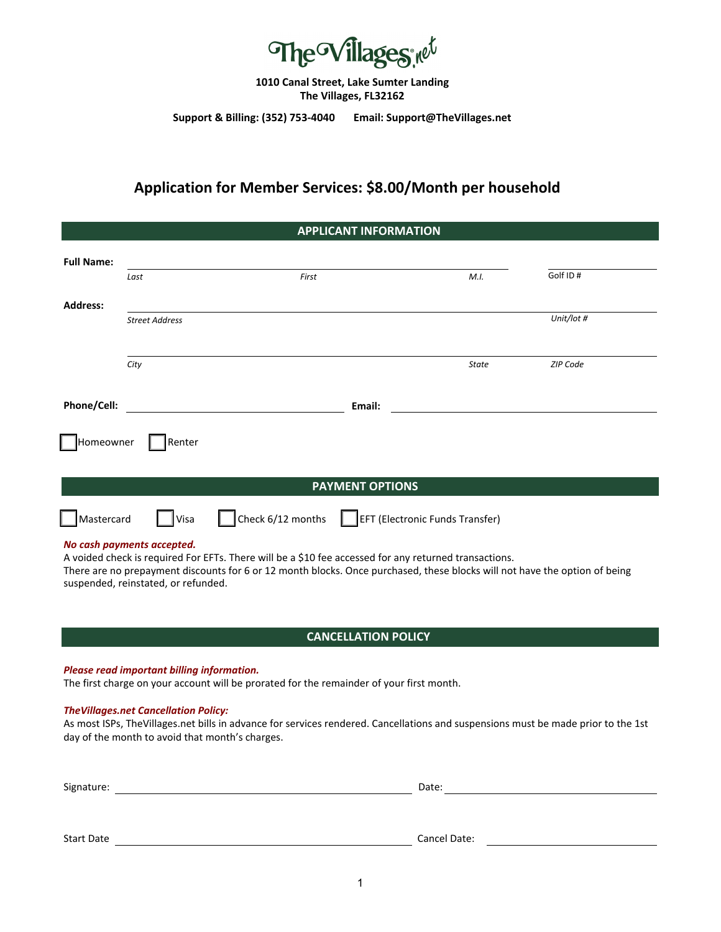

**1010 Canal Street, Lake Sumter Landing The Villages, FL32162**

**Support & Billing: (352) 753-4040 Email: Support@TheVillages.net**

# **Application for Member Services: \$8.00/Month per household**

| <b>APPLICANT INFORMATION</b> |                            |                   |                                 |            |  |  |
|------------------------------|----------------------------|-------------------|---------------------------------|------------|--|--|
| <b>Full Name:</b>            | Last                       | First             | M.I.                            | Golf ID#   |  |  |
| <b>Address:</b>              | <b>Street Address</b>      |                   |                                 | Unit/lot # |  |  |
|                              | City                       |                   | <b>State</b>                    | ZIP Code   |  |  |
| Phone/Cell:                  |                            | Email:            |                                 |            |  |  |
| Homeowner                    | Renter                     |                   |                                 |            |  |  |
| <b>PAYMENT OPTIONS</b>       |                            |                   |                                 |            |  |  |
| Mastercard                   | Visa                       | Check 6/12 months | EFT (Electronic Funds Transfer) |            |  |  |
|                              | No cash payments accepted. |                   |                                 |            |  |  |

A voided check is required For EFTs. There will be a \$10 fee accessed for any returned transactions.

There are no prepayment discounts for 6 or 12 month blocks. Once purchased, these blocks will not have the option of being suspended, reinstated, or refunded.

### **CANCELLATION POLICY**

#### *Please read important billing information.*

The first charge on your account will be prorated for the remainder of your first month.

#### *TheVillages.net Cancellation Policy:*

As most ISPs, TheVillages.net bills in advance for services rendered. Cancellations and suspensions must be made prior to the 1st day of the month to avoid that month's charges.

Signature: Date:

Start Date Cancel Date: